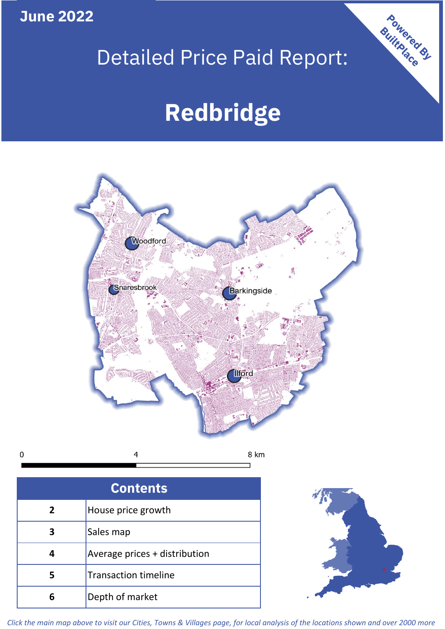**June 2022**

 $\mathbf 0$ 

## Detailed Price Paid Report:

# **Redbridge**



| <b>Contents</b> |                               |  |  |
|-----------------|-------------------------------|--|--|
| $\overline{2}$  | House price growth            |  |  |
| 3               | Sales map                     |  |  |
|                 | Average prices + distribution |  |  |
| 5               | <b>Transaction timeline</b>   |  |  |
| 6               | Depth of market               |  |  |



Powered By

*Click the main map above to visit our Cities, Towns & Villages page, for local analysis of the locations shown and over 2000 more*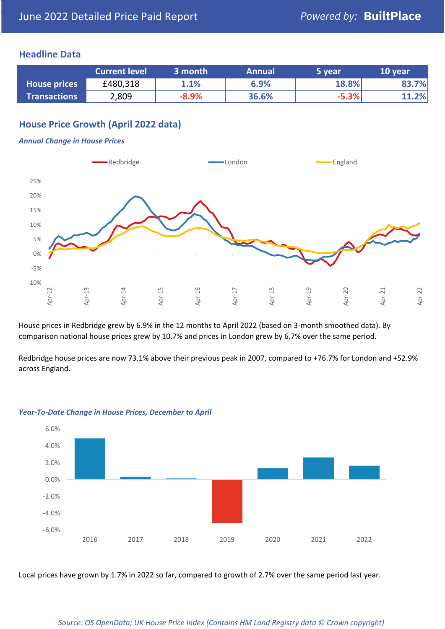## **Headline Data**

|                     | <b>Current level</b> | 3 month | <b>Annual</b> | 5 year  | 10 year |
|---------------------|----------------------|---------|---------------|---------|---------|
| <b>House prices</b> | £480,318             | 1.1%    | 6.9%          | 18.8%   | 83.7%   |
| <b>Transactions</b> | 2,809                | $-8.9%$ | 36.6%         | $-5.3%$ | 11.2%   |

## **House Price Growth (April 2022 data)**

#### *Annual Change in House Prices*



House prices in Redbridge grew by 6.9% in the 12 months to April 2022 (based on 3-month smoothed data). By comparison national house prices grew by 10.7% and prices in London grew by 6.7% over the same period.

Redbridge house prices are now 73.1% above their previous peak in 2007, compared to +76.7% for London and +52.9% across England.



#### *Year-To-Date Change in House Prices, December to April*

Local prices have grown by 1.7% in 2022 so far, compared to growth of 2.7% over the same period last year.

#### *Source: OS OpenData; UK House Price Index (Contains HM Land Registry data © Crown copyright)*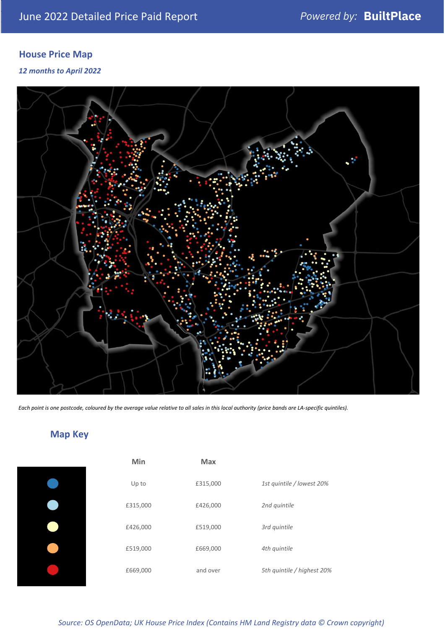## **House Price Map**

### *12 months to April 2022*



*Each point is one postcode, coloured by the average value relative to all sales in this local authority (price bands are LA-specific quintiles).*

## **Map Key**

| Min      | <b>Max</b> |                            |
|----------|------------|----------------------------|
| Up to    | £315,000   | 1st quintile / lowest 20%  |
| £315,000 | £426,000   | 2nd quintile               |
| £426,000 | £519,000   | 3rd quintile               |
| £519,000 | £669,000   | 4th quintile               |
| £669,000 | and over   | 5th quintile / highest 20% |

## *Source: OS OpenData; UK House Price Index (Contains HM Land Registry data © Crown copyright)*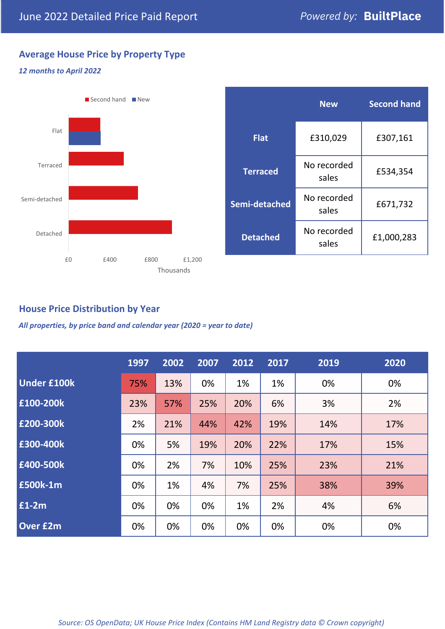## **Average House Price by Property Type**

### *12 months to April 2022*



|                 | <b>New</b>           | <b>Second hand</b> |  |  |
|-----------------|----------------------|--------------------|--|--|
| <b>Flat</b>     | £310,029             | £307,161           |  |  |
| <b>Terraced</b> | No recorded<br>sales | £534,354           |  |  |
| Semi-detached   | No recorded<br>sales | £671,732           |  |  |
| <b>Detached</b> | No recorded<br>sales | £1,000,283         |  |  |

## **House Price Distribution by Year**

*All properties, by price band and calendar year (2020 = year to date)*

|                    | 1997 | 2002 | 2007 | 2012 | 2017 | 2019 | 2020 |
|--------------------|------|------|------|------|------|------|------|
| <b>Under £100k</b> | 75%  | 13%  | 0%   | 1%   | 1%   | 0%   | 0%   |
| £100-200k          | 23%  | 57%  | 25%  | 20%  | 6%   | 3%   | 2%   |
| E200-300k          | 2%   | 21%  | 44%  | 42%  | 19%  | 14%  | 17%  |
| £300-400k          | 0%   | 5%   | 19%  | 20%  | 22%  | 17%  | 15%  |
| £400-500k          | 0%   | 2%   | 7%   | 10%  | 25%  | 23%  | 21%  |
| £500k-1m           | 0%   | 1%   | 4%   | 7%   | 25%  | 38%  | 39%  |
| £1-2m              | 0%   | 0%   | 0%   | 1%   | 2%   | 4%   | 6%   |
| <b>Over £2m</b>    | 0%   | 0%   | 0%   | 0%   | 0%   | 0%   | 0%   |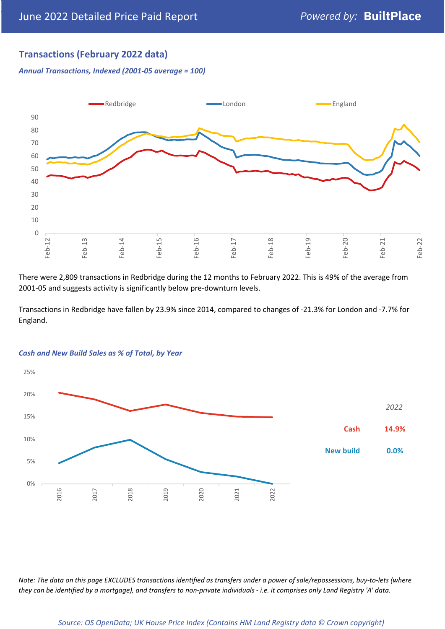## **Transactions (February 2022 data)**

*Annual Transactions, Indexed (2001-05 average = 100)*



There were 2,809 transactions in Redbridge during the 12 months to February 2022. This is 49% of the average from 2001-05 and suggests activity is significantly below pre-downturn levels.

Transactions in Redbridge have fallen by 23.9% since 2014, compared to changes of -21.3% for London and -7.7% for England.



#### *Cash and New Build Sales as % of Total, by Year*

*Note: The data on this page EXCLUDES transactions identified as transfers under a power of sale/repossessions, buy-to-lets (where they can be identified by a mortgage), and transfers to non-private individuals - i.e. it comprises only Land Registry 'A' data.*